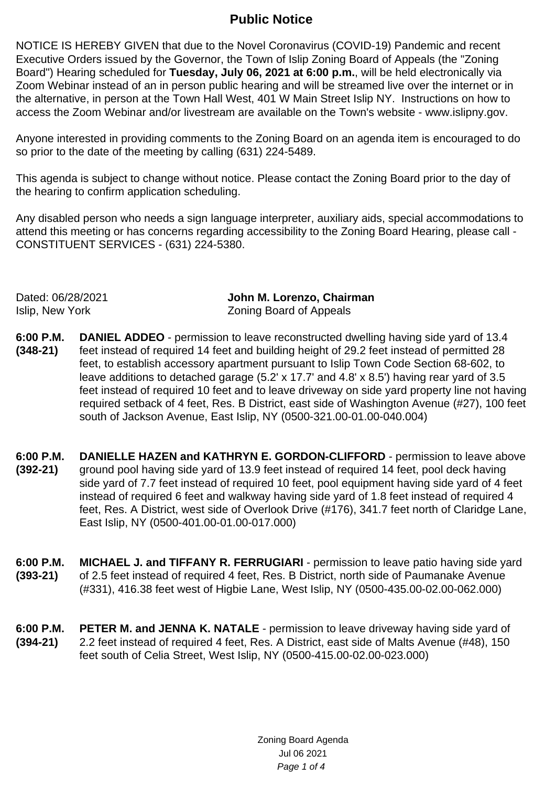## **Public Notice**

NOTICE IS HEREBY GIVEN that due to the Novel Coronavirus (COVID-19) Pandemic and recent Executive Orders issued by the Governor, the Town of Islip Zoning Board of Appeals (the "Zoning Board") Hearing scheduled for **Tuesday, July 06, 2021 at 6:00 p.m.**, will be held electronically via Zoom Webinar instead of an in person public hearing and will be streamed live over the internet or in the alternative, in person at the Town Hall West, 401 W Main Street Islip NY. Instructions on how to access the Zoom Webinar and/or livestream are available on the Town's website - www.islipny.gov.

Anyone interested in providing comments to the Zoning Board on an agenda item is encouraged to do so prior to the date of the meeting by calling (631) 224-5489.

This agenda is subject to change without notice. Please contact the Zoning Board prior to the day of the hearing to confirm application scheduling.

Any disabled person who needs a sign language interpreter, auxiliary aids, special accommodations to attend this meeting or has concerns regarding accessibility to the Zoning Board Hearing, please call - CONSTITUENT SERVICES - (631) 224-5380.

Dated: 06/28/2021 **John M. Lorenzo, Chairman** Islip, New York Zoning Board of Appeals

- **6:00 P.M. (348-21) DANIEL ADDEO** - permission to leave reconstructed dwelling having side yard of 13.4 feet instead of required 14 feet and building height of 29.2 feet instead of permitted 28 feet, to establish accessory apartment pursuant to Islip Town Code Section 68-602, to leave additions to detached garage (5.2' x 17.7' and 4.8' x 8.5') having rear yard of 3.5 feet instead of required 10 feet and to leave driveway on side yard property line not having required setback of 4 feet, Res. B District, east side of Washington Avenue (#27), 100 feet south of Jackson Avenue, East Islip, NY (0500-321.00-01.00-040.004)
- **6:00 P.M. (392-21) DANIELLE HAZEN and KATHRYN E. GORDON-CLIFFORD** - permission to leave above ground pool having side yard of 13.9 feet instead of required 14 feet, pool deck having side yard of 7.7 feet instead of required 10 feet, pool equipment having side yard of 4 feet instead of required 6 feet and walkway having side yard of 1.8 feet instead of required 4 feet, Res. A District, west side of Overlook Drive (#176), 341.7 feet north of Claridge Lane, East Islip, NY (0500-401.00-01.00-017.000)
- **6:00 P.M. (393-21) MICHAEL J. and TIFFANY R. FERRUGIARI** - permission to leave patio having side yard of 2.5 feet instead of required 4 feet, Res. B District, north side of Paumanake Avenue (#331), 416.38 feet west of Higbie Lane, West Islip, NY (0500-435.00-02.00-062.000)
- **6:00 P.M. (394-21) PETER M. and JENNA K. NATALE** - permission to leave driveway having side yard of 2.2 feet instead of required 4 feet, Res. A District, east side of Malts Avenue (#48), 150 feet south of Celia Street, West Islip, NY (0500-415.00-02.00-023.000)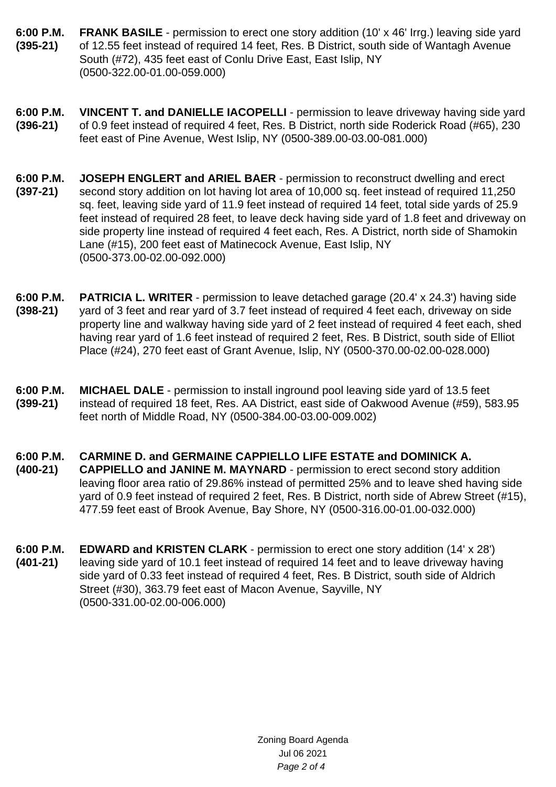- **6:00 P.M. (395-21) FRANK BASILE** - permission to erect one story addition (10' x 46' Irrg.) leaving side yard of 12.55 feet instead of required 14 feet, Res. B District, south side of Wantagh Avenue South (#72), 435 feet east of Conlu Drive East, East Islip, NY (0500-322.00-01.00-059.000)
- **6:00 P.M. (396-21) VINCENT T. and DANIELLE IACOPELLI** - permission to leave driveway having side yard of 0.9 feet instead of required 4 feet, Res. B District, north side Roderick Road (#65), 230 feet east of Pine Avenue, West Islip, NY (0500-389.00-03.00-081.000)
- **6:00 P.M. (397-21) JOSEPH ENGLERT and ARIEL BAER** - permission to reconstruct dwelling and erect second story addition on lot having lot area of 10,000 sq. feet instead of required 11,250 sq. feet, leaving side yard of 11.9 feet instead of required 14 feet, total side yards of 25.9 feet instead of required 28 feet, to leave deck having side yard of 1.8 feet and driveway on side property line instead of required 4 feet each, Res. A District, north side of Shamokin Lane (#15), 200 feet east of Matinecock Avenue, East Islip, NY (0500-373.00-02.00-092.000)
- **6:00 P.M. (398-21) PATRICIA L. WRITER** - permission to leave detached garage (20.4' x 24.3') having side yard of 3 feet and rear yard of 3.7 feet instead of required 4 feet each, driveway on side property line and walkway having side yard of 2 feet instead of required 4 feet each, shed having rear yard of 1.6 feet instead of required 2 feet, Res. B District, south side of Elliot Place (#24), 270 feet east of Grant Avenue, Islip, NY (0500-370.00-02.00-028.000)
- **6:00 P.M. (399-21) MICHAEL DALE** - permission to install inground pool leaving side yard of 13.5 feet instead of required 18 feet, Res. AA District, east side of Oakwood Avenue (#59), 583.95 feet north of Middle Road, NY (0500-384.00-03.00-009.002)
- **6:00 P.M. CARMINE D. and GERMAINE CAPPIELLO LIFE ESTATE and DOMINICK A.**
- **(400-21) CAPPIELLO and JANINE M. MAYNARD** - permission to erect second story addition leaving floor area ratio of 29.86% instead of permitted 25% and to leave shed having side yard of 0.9 feet instead of required 2 feet, Res. B District, north side of Abrew Street (#15), 477.59 feet east of Brook Avenue, Bay Shore, NY (0500-316.00-01.00-032.000)
- **6:00 P.M. (401-21) EDWARD and KRISTEN CLARK** - permission to erect one story addition (14' x 28') leaving side yard of 10.1 feet instead of required 14 feet and to leave driveway having side yard of 0.33 feet instead of required 4 feet, Res. B District, south side of Aldrich Street (#30), 363.79 feet east of Macon Avenue, Sayville, NY (0500-331.00-02.00-006.000)

Zoning Board Agenda Jul 06 2021 Page 2 of 4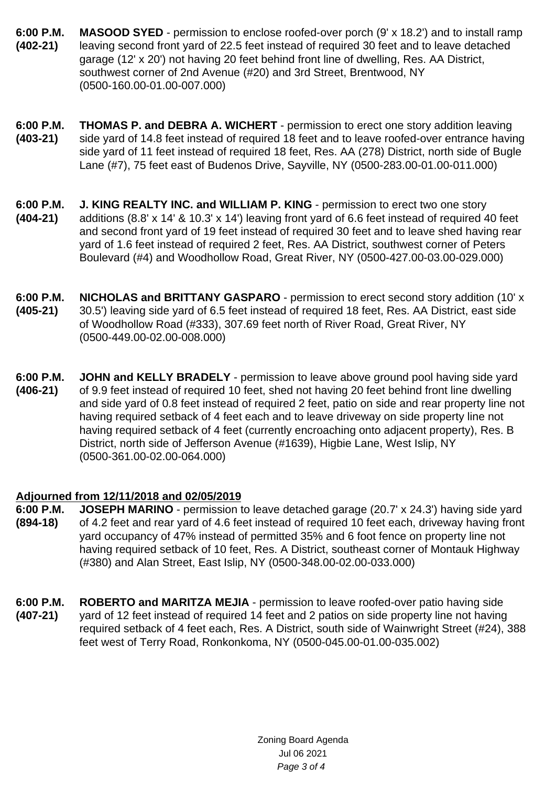- **6:00 P.M. (402-21) MASOOD SYED** - permission to enclose roofed-over porch (9' x 18.2') and to install ramp leaving second front yard of 22.5 feet instead of required 30 feet and to leave detached garage (12' x 20') not having 20 feet behind front line of dwelling, Res. AA District, southwest corner of 2nd Avenue (#20) and 3rd Street, Brentwood, NY (0500-160.00-01.00-007.000)
- **6:00 P.M. (403-21) THOMAS P. and DEBRA A. WICHERT** - permission to erect one story addition leaving side yard of 14.8 feet instead of required 18 feet and to leave roofed-over entrance having side yard of 11 feet instead of required 18 feet, Res. AA (278) District, north side of Bugle Lane (#7), 75 feet east of Budenos Drive, Sayville, NY (0500-283.00-01.00-011.000)
- **6:00 P.M. (404-21) J. KING REALTY INC. and WILLIAM P. KING** - permission to erect two one story additions (8.8' x 14' & 10.3' x 14') leaving front yard of 6.6 feet instead of required 40 feet and second front yard of 19 feet instead of required 30 feet and to leave shed having rear yard of 1.6 feet instead of required 2 feet, Res. AA District, southwest corner of Peters Boulevard (#4) and Woodhollow Road, Great River, NY (0500-427.00-03.00-029.000)
- **6:00 P.M. (405-21) NICHOLAS and BRITTANY GASPARO** - permission to erect second story addition (10' x 30.5') leaving side yard of 6.5 feet instead of required 18 feet, Res. AA District, east side of Woodhollow Road (#333), 307.69 feet north of River Road, Great River, NY (0500-449.00-02.00-008.000)
- **6:00 P.M. (406-21) JOHN and KELLY BRADELY** - permission to leave above ground pool having side yard of 9.9 feet instead of required 10 feet, shed not having 20 feet behind front line dwelling and side yard of 0.8 feet instead of required 2 feet, patio on side and rear property line not having required setback of 4 feet each and to leave driveway on side property line not having required setback of 4 feet (currently encroaching onto adjacent property), Res. B District, north side of Jefferson Avenue (#1639), Higbie Lane, West Islip, NY (0500-361.00-02.00-064.000)

## **Adjourned from 12/11/2018 and 02/05/2019**

- **6:00 P.M. (894-18) JOSEPH MARINO** - permission to leave detached garage (20.7' x 24.3') having side yard of 4.2 feet and rear yard of 4.6 feet instead of required 10 feet each, driveway having front yard occupancy of 47% instead of permitted 35% and 6 foot fence on property line not having required setback of 10 feet, Res. A District, southeast corner of Montauk Highway (#380) and Alan Street, East Islip, NY (0500-348.00-02.00-033.000)
- **6:00 P.M. (407-21) ROBERTO and MARITZA MEJIA** - permission to leave roofed-over patio having side yard of 12 feet instead of required 14 feet and 2 patios on side property line not having required setback of 4 feet each, Res. A District, south side of Wainwright Street (#24), 388 feet west of Terry Road, Ronkonkoma, NY (0500-045.00-01.00-035.002)

Zoning Board Agenda Jul 06 2021 Page 3 of 4